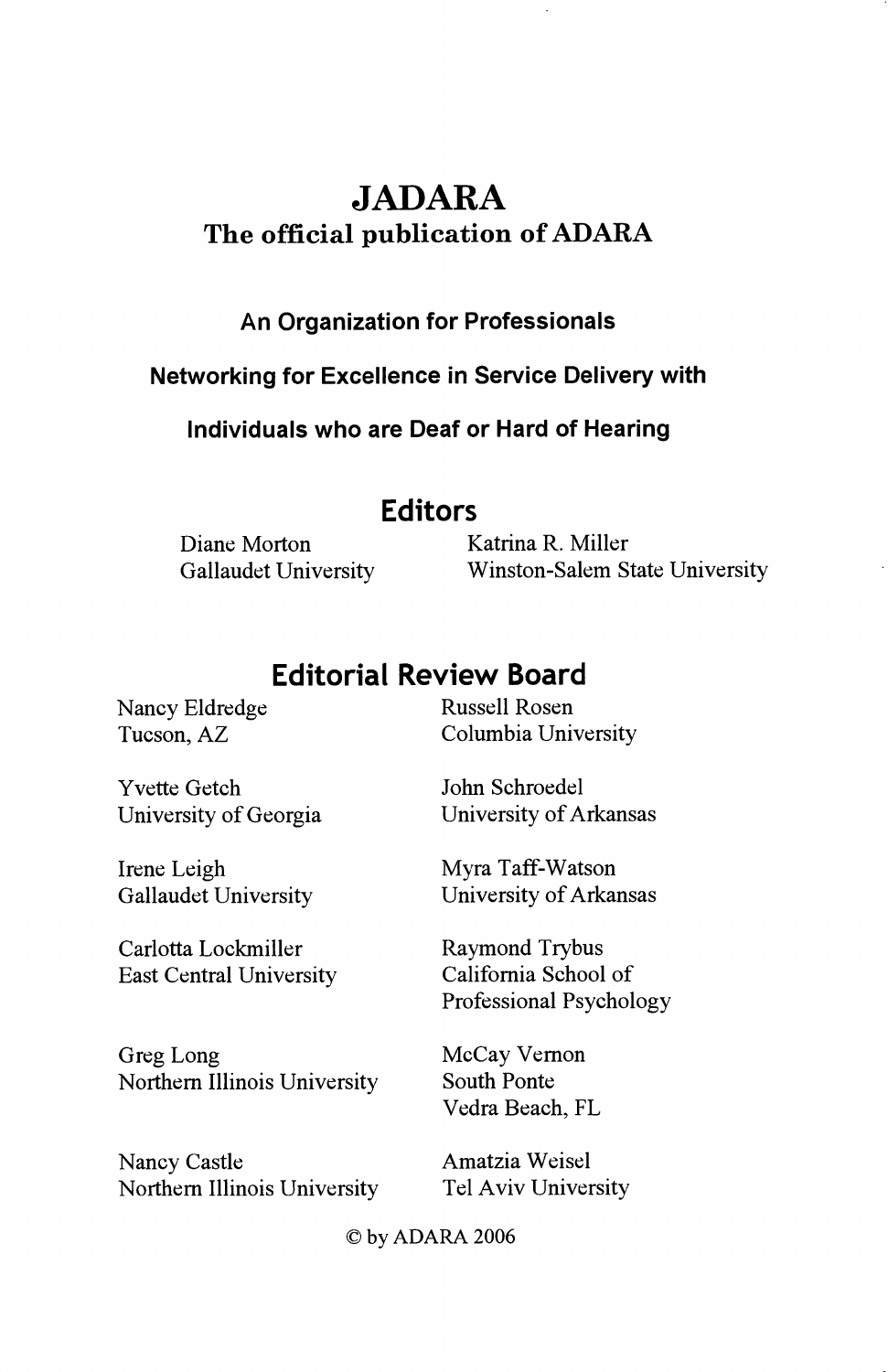# JADARA The official publication of ADARA

### An Organization for Professionals

Networking for Excellence in Service Delivery with

Individuals who are Deaf or Hard of Hearing

### Editors

Diane Morton Katrina R. Miller

Gallaudet University Winston-Salem State University

## Editorial Review Board

Nancy Eldredge Russell Rosen

Yvette Getch John Schroedel

Irene Leigh Myra Taff-Watson

Carlotta Lockmiller<br>
East Central University<br>
California School of East Central University

Greg Long McCay Vernon Northern Illinois University South Ponte

Nancy Castle Amatzia Weisel Northern Illinois University Tel Aviv University

Tucson, AZ Columbia University

University of Georgia University of Arkansas

Gallaudet University University of Arkansas

Professional Psychology

Vedra Beach, FL

) by ADARA 2006